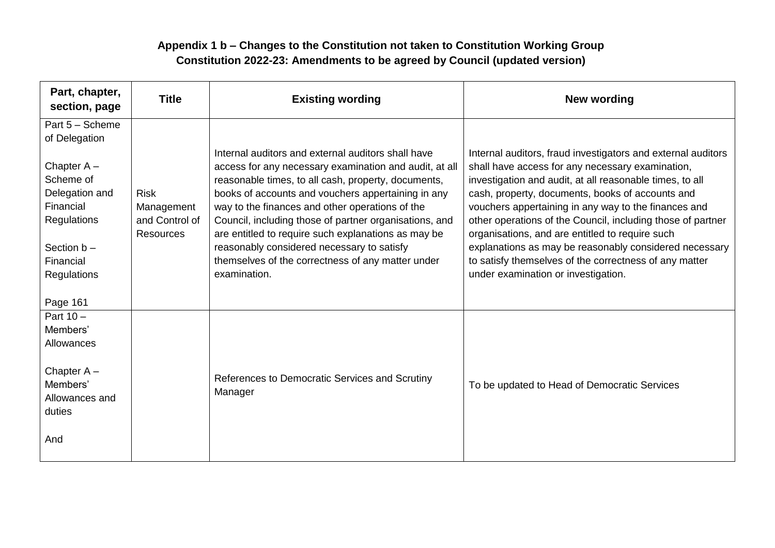## **Appendix 1 b – Changes to the Constitution not taken to Constitution Working Group Constitution 2022-23: Amendments to be agreed by Council (updated version)**

| Part, chapter,<br>section, page                                                                                                                                       | <b>Title</b>                                                    | <b>Existing wording</b>                                                                                                                                                                                                                                                                                                                                                                                                                                                                                          | <b>New wording</b>                                                                                                                                                                                                                                                                                                                                                                                                                                                                                                                                                    |
|-----------------------------------------------------------------------------------------------------------------------------------------------------------------------|-----------------------------------------------------------------|------------------------------------------------------------------------------------------------------------------------------------------------------------------------------------------------------------------------------------------------------------------------------------------------------------------------------------------------------------------------------------------------------------------------------------------------------------------------------------------------------------------|-----------------------------------------------------------------------------------------------------------------------------------------------------------------------------------------------------------------------------------------------------------------------------------------------------------------------------------------------------------------------------------------------------------------------------------------------------------------------------------------------------------------------------------------------------------------------|
| Part 5 - Scheme<br>of Delegation<br>Chapter $A -$<br>Scheme of<br>Delegation and<br>Financial<br>Regulations<br>Section $b -$<br>Financial<br>Regulations<br>Page 161 | <b>Risk</b><br>Management<br>and Control of<br><b>Resources</b> | Internal auditors and external auditors shall have<br>access for any necessary examination and audit, at all<br>reasonable times, to all cash, property, documents,<br>books of accounts and vouchers appertaining in any<br>way to the finances and other operations of the<br>Council, including those of partner organisations, and<br>are entitled to require such explanations as may be<br>reasonably considered necessary to satisfy<br>themselves of the correctness of any matter under<br>examination. | Internal auditors, fraud investigators and external auditors<br>shall have access for any necessary examination,<br>investigation and audit, at all reasonable times, to all<br>cash, property, documents, books of accounts and<br>vouchers appertaining in any way to the finances and<br>other operations of the Council, including those of partner<br>organisations, and are entitled to require such<br>explanations as may be reasonably considered necessary<br>to satisfy themselves of the correctness of any matter<br>under examination or investigation. |
| Part $10 -$<br>Members'<br>Allowances<br>Chapter $A -$<br>Members'<br>Allowances and<br>duties<br>And                                                                 |                                                                 | References to Democratic Services and Scrutiny<br>Manager                                                                                                                                                                                                                                                                                                                                                                                                                                                        | To be updated to Head of Democratic Services                                                                                                                                                                                                                                                                                                                                                                                                                                                                                                                          |